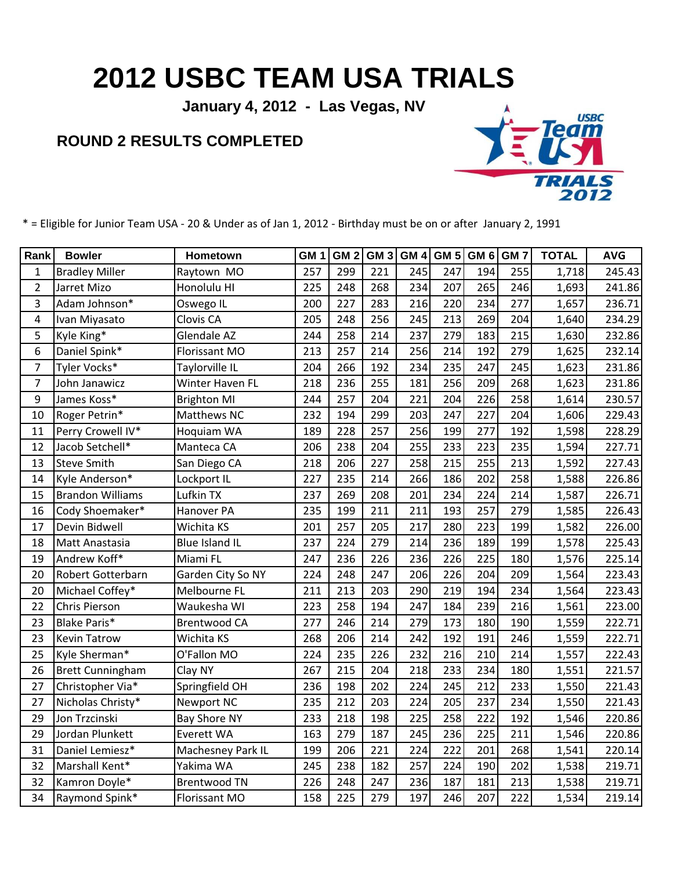## **2012 USBC TEAM USA TRIALS**

**January 4, 2012 - Las Vegas, NV**

## **ROUND 2 RESULTS COMPLETED**



\* = Eligible for Junior Team USA - 20 & Under as of Jan 1, 2012 - Birthday must be on or after January 2, 1991

| Rank           | <b>Bowler</b>           | Hometown              | GM <sub>1</sub> | GM <sub>2</sub> | GM <sub>3</sub> | GM <sub>4</sub> | <b>GM 5</b> | GM <sub>6</sub> | GM <sub>7</sub> | <b>TOTAL</b> | <b>AVG</b> |
|----------------|-------------------------|-----------------------|-----------------|-----------------|-----------------|-----------------|-------------|-----------------|-----------------|--------------|------------|
| $\mathbf{1}$   | <b>Bradley Miller</b>   | Raytown MO            | 257             | 299             | 221             | 245             | 247         | 194             | 255             | 1,718        | 245.43     |
| $\overline{2}$ | Jarret Mizo             | Honolulu HI           | 225             | 248             | 268             | 234             | 207         | 265             | 246             | 1,693        | 241.86     |
| 3              | Adam Johnson*           | Oswego IL             | 200             | 227             | 283             | 216             | 220         | 234             | 277             | 1,657        | 236.71     |
| 4              | Ivan Miyasato           | Clovis CA             | 205             | 248             | 256             | 245             | 213         | 269             | 204             | 1,640        | 234.29     |
| 5              | Kyle King*              | <b>Glendale AZ</b>    | 244             | 258             | 214             | 237             | 279         | 183             | 215             | 1,630        | 232.86     |
| 6              | Daniel Spink*           | Florissant MO         | 213             | 257             | 214             | 256             | 214         | 192             | 279             | 1,625        | 232.14     |
| 7              | Tyler Vocks*            | Taylorville IL        | 204             | 266             | 192             | 234             | 235         | 247             | 245             | 1,623        | 231.86     |
| $\overline{7}$ | John Janawicz           | Winter Haven FL       | 218             | 236             | 255             | 181             | 256         | 209             | 268             | 1,623        | 231.86     |
| 9              | James Koss*             | <b>Brighton MI</b>    | 244             | 257             | 204             | 221             | 204         | 226             | 258             | 1,614        | 230.57     |
| 10             | Roger Petrin*           | Matthews NC           | 232             | 194             | 299             | 203             | 247         | 227             | 204             | 1,606        | 229.43     |
| 11             | Perry Crowell IV*       | Hoquiam WA            | 189             | 228             | 257             | 256             | 199         | 277             | 192             | 1,598        | 228.29     |
| 12             | Jacob Setchell*         | Manteca CA            | 206             | 238             | 204             | 255             | 233         | 223             | 235             | 1,594        | 227.71     |
| 13             | <b>Steve Smith</b>      | San Diego CA          | 218             | 206             | 227             | 258             | 215         | 255             | 213             | 1,592        | 227.43     |
| 14             | Kyle Anderson*          | Lockport IL           | 227             | 235             | 214             | 266             | 186         | 202             | 258             | 1,588        | 226.86     |
| 15             | <b>Brandon Williams</b> | Lufkin TX             | 237             | 269             | 208             | 201             | 234         | 224             | 214             | 1,587        | 226.71     |
| 16             | Cody Shoemaker*         | Hanover PA            | 235             | 199             | 211             | 211             | 193         | 257             | 279             | 1,585        | 226.43     |
| 17             | Devin Bidwell           | Wichita KS            | 201             | 257             | 205             | 217             | 280         | 223             | 199             | 1,582        | 226.00     |
| 18             | Matt Anastasia          | <b>Blue Island IL</b> | 237             | 224             | 279             | 214             | 236         | 189             | 199             | 1,578        | 225.43     |
| 19             | Andrew Koff*            | Miami FL              | 247             | 236             | 226             | 236             | 226         | 225             | 180             | 1,576        | 225.14     |
| 20             | Robert Gotterbarn       | Garden City So NY     | 224             | 248             | 247             | 206             | 226         | 204             | 209             | 1,564        | 223.43     |
| 20             | Michael Coffey*         | Melbourne FL          | 211             | 213             | 203             | 290             | 219         | 194             | 234             | 1,564        | 223.43     |
| 22             | Chris Pierson           | Waukesha WI           | 223             | 258             | 194             | 247             | 184         | 239             | 216             | 1,561        | 223.00     |
| 23             | <b>Blake Paris*</b>     | <b>Brentwood CA</b>   | 277             | 246             | 214             | 279             | 173         | 180             | 190             | 1,559        | 222.71     |
| 23             | <b>Kevin Tatrow</b>     | Wichita KS            | 268             | 206             | 214             | 242             | 192         | 191             | 246             | 1,559        | 222.71     |
| 25             | Kyle Sherman*           | O'Fallon MO           | 224             | 235             | 226             | 232             | 216         | 210             | 214             | 1,557        | 222.43     |
| 26             | <b>Brett Cunningham</b> | Clay NY               | 267             | 215             | 204             | 218             | 233         | 234             | 180             | 1,551        | 221.57     |
| 27             | Christopher Via*        | Springfield OH        | 236             | 198             | 202             | 224             | 245         | 212             | 233             | 1,550        | 221.43     |
| 27             | Nicholas Christy*       | Newport NC            | 235             | 212             | 203             | 224             | 205         | 237             | 234             | 1,550        | 221.43     |
| 29             | Jon Trzcinski           | <b>Bay Shore NY</b>   | 233             | 218             | 198             | 225             | 258         | 222             | 192             | 1,546        | 220.86     |
| 29             | Jordan Plunkett         | Everett WA            | 163             | 279             | 187             | 245             | 236         | 225             | 211             | 1,546        | 220.86     |
| 31             | Daniel Lemiesz*         | Machesney Park IL     | 199             | 206             | 221             | 224             | 222         | 201             | 268             | 1,541        | 220.14     |
| 32             | Marshall Kent*          | Yakima WA             | 245             | 238             | 182             | 257             | 224         | 190             | 202             | 1,538        | 219.71     |
| 32             | Kamron Doyle*           | <b>Brentwood TN</b>   | 226             | 248             | 247             | 236             | 187         | 181             | 213             | 1,538        | 219.71     |
| 34             | Raymond Spink*          | Florissant MO         | 158             | 225             | 279             | 197             | 246         | 207             | 222             | 1,534        | 219.14     |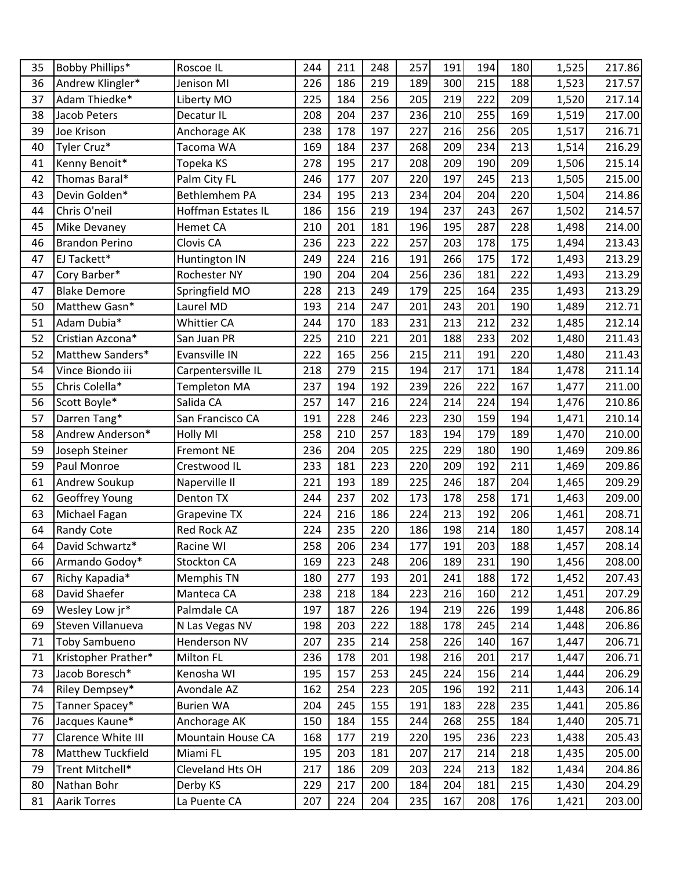| 35 | Bobby Phillips*          | Roscoe IL           | 244 | 211 | 248 | 257 | 191 | 194 | 180 | 1,525 | 217.86 |
|----|--------------------------|---------------------|-----|-----|-----|-----|-----|-----|-----|-------|--------|
| 36 | Andrew Klingler*         | Jenison MI          | 226 | 186 | 219 | 189 | 300 | 215 | 188 | 1,523 | 217.57 |
| 37 | Adam Thiedke*            | Liberty MO          | 225 | 184 | 256 | 205 | 219 | 222 | 209 | 1,520 | 217.14 |
| 38 | Jacob Peters             | Decatur IL          | 208 | 204 | 237 | 236 | 210 | 255 | 169 | 1,519 | 217.00 |
| 39 | Joe Krison               | Anchorage AK        | 238 | 178 | 197 | 227 | 216 | 256 | 205 | 1,517 | 216.71 |
| 40 | Tyler Cruz*              | Tacoma WA           | 169 | 184 | 237 | 268 | 209 | 234 | 213 | 1,514 | 216.29 |
| 41 | Kenny Benoit*            | Topeka KS           | 278 | 195 | 217 | 208 | 209 | 190 | 209 | 1,506 | 215.14 |
| 42 | Thomas Baral*            | Palm City FL        | 246 | 177 | 207 | 220 | 197 | 245 | 213 | 1,505 | 215.00 |
| 43 | Devin Golden*            | Bethlemhem PA       | 234 | 195 | 213 | 234 | 204 | 204 | 220 | 1,504 | 214.86 |
| 44 | Chris O'neil             | Hoffman Estates IL  | 186 | 156 | 219 | 194 | 237 | 243 | 267 | 1,502 | 214.57 |
| 45 | <b>Mike Devaney</b>      | <b>Hemet CA</b>     | 210 | 201 | 181 | 196 | 195 | 287 | 228 | 1,498 | 214.00 |
| 46 | <b>Brandon Perino</b>    | Clovis CA           | 236 | 223 | 222 | 257 | 203 | 178 | 175 | 1,494 | 213.43 |
| 47 | EJ Tackett*              | Huntington IN       | 249 | 224 | 216 | 191 | 266 | 175 | 172 | 1,493 | 213.29 |
| 47 | Cory Barber*             | Rochester NY        | 190 | 204 | 204 | 256 | 236 | 181 | 222 | 1,493 | 213.29 |
| 47 | <b>Blake Demore</b>      | Springfield MO      | 228 | 213 | 249 | 179 | 225 | 164 | 235 | 1,493 | 213.29 |
| 50 | Matthew Gasn*            | Laurel MD           | 193 | 214 | 247 | 201 | 243 | 201 | 190 | 1,489 | 212.71 |
| 51 | Adam Dubia*              | Whittier CA         | 244 | 170 | 183 | 231 | 213 | 212 | 232 | 1,485 | 212.14 |
| 52 | Cristian Azcona*         | San Juan PR         | 225 | 210 | 221 | 201 | 188 | 233 | 202 | 1,480 | 211.43 |
| 52 | Matthew Sanders*         | Evansville IN       | 222 | 165 | 256 | 215 | 211 | 191 | 220 | 1,480 | 211.43 |
| 54 | Vince Biondo iii         | Carpentersville IL  | 218 | 279 | 215 | 194 | 217 | 171 | 184 | 1,478 | 211.14 |
| 55 | Chris Colella*           | <b>Templeton MA</b> | 237 | 194 | 192 | 239 | 226 | 222 | 167 | 1,477 | 211.00 |
| 56 | Scott Boyle*             | Salida CA           | 257 | 147 | 216 | 224 | 214 | 224 | 194 | 1,476 | 210.86 |
| 57 | Darren Tang*             | San Francisco CA    | 191 | 228 | 246 | 223 | 230 | 159 | 194 | 1,471 | 210.14 |
| 58 | Andrew Anderson*         | <b>Holly MI</b>     | 258 | 210 | 257 | 183 | 194 | 179 | 189 | 1,470 | 210.00 |
| 59 | Joseph Steiner           | <b>Fremont NE</b>   | 236 | 204 | 205 | 225 | 229 | 180 | 190 | 1,469 | 209.86 |
| 59 | Paul Monroe              | Crestwood IL        | 233 | 181 | 223 | 220 | 209 | 192 | 211 | 1,469 | 209.86 |
| 61 | <b>Andrew Soukup</b>     | Naperville II       | 221 | 193 | 189 | 225 | 246 | 187 | 204 | 1,465 | 209.29 |
| 62 | <b>Geoffrey Young</b>    | Denton TX           | 244 | 237 | 202 | 173 | 178 | 258 | 171 | 1,463 | 209.00 |
| 63 | Michael Fagan            | <b>Grapevine TX</b> | 224 | 216 | 186 | 224 | 213 | 192 | 206 | 1,461 | 208.71 |
| 64 | <b>Randy Cote</b>        | Red Rock AZ         | 224 | 235 | 220 | 186 | 198 | 214 | 180 | 1,457 | 208.14 |
| 64 | David Schwartz*          | Racine WI           | 258 | 206 | 234 | 177 | 191 | 203 | 188 | 1,457 | 208.14 |
| 66 | Armando Godoy*           | Stockton CA         | 169 | 223 | 248 | 206 | 189 | 231 | 190 | 1,456 | 208.00 |
| 67 | Richy Kapadia*           | Memphis TN          | 180 | 277 | 193 | 201 | 241 | 188 | 172 | 1,452 | 207.43 |
| 68 | David Shaefer            | Manteca CA          | 238 | 218 | 184 | 223 | 216 | 160 | 212 | 1,451 | 207.29 |
| 69 | Wesley Low jr*           | Palmdale CA         | 197 | 187 | 226 | 194 | 219 | 226 | 199 | 1,448 | 206.86 |
| 69 | Steven Villanueva        | N Las Vegas NV      | 198 | 203 | 222 | 188 | 178 | 245 | 214 | 1,448 | 206.86 |
| 71 | <b>Toby Sambueno</b>     | Henderson NV        | 207 | 235 | 214 | 258 | 226 | 140 | 167 | 1,447 | 206.71 |
| 71 | Kristopher Prather*      | Milton FL           | 236 | 178 | 201 | 198 | 216 | 201 | 217 | 1,447 | 206.71 |
| 73 | Jacob Boresch*           | Kenosha WI          | 195 | 157 | 253 | 245 | 224 | 156 | 214 | 1,444 | 206.29 |
| 74 | Riley Dempsey*           | Avondale AZ         | 162 | 254 | 223 | 205 | 196 | 192 | 211 | 1,443 | 206.14 |
| 75 | Tanner Spacey*           | <b>Burien WA</b>    | 204 | 245 | 155 | 191 | 183 | 228 | 235 | 1,441 | 205.86 |
| 76 | Jacques Kaune*           | Anchorage AK        | 150 | 184 | 155 | 244 | 268 | 255 | 184 | 1,440 | 205.71 |
| 77 | Clarence White III       | Mountain House CA   | 168 | 177 | 219 | 220 | 195 | 236 | 223 | 1,438 | 205.43 |
| 78 | <b>Matthew Tuckfield</b> | Miami FL            | 195 | 203 | 181 | 207 | 217 | 214 | 218 | 1,435 | 205.00 |
| 79 | Trent Mitchell*          | Cleveland Hts OH    | 217 | 186 | 209 | 203 | 224 | 213 | 182 | 1,434 | 204.86 |
| 80 | Nathan Bohr              | Derby KS            | 229 | 217 | 200 | 184 | 204 | 181 | 215 | 1,430 | 204.29 |
| 81 | <b>Aarik Torres</b>      | La Puente CA        | 207 | 224 | 204 | 235 | 167 | 208 | 176 | 1,421 | 203.00 |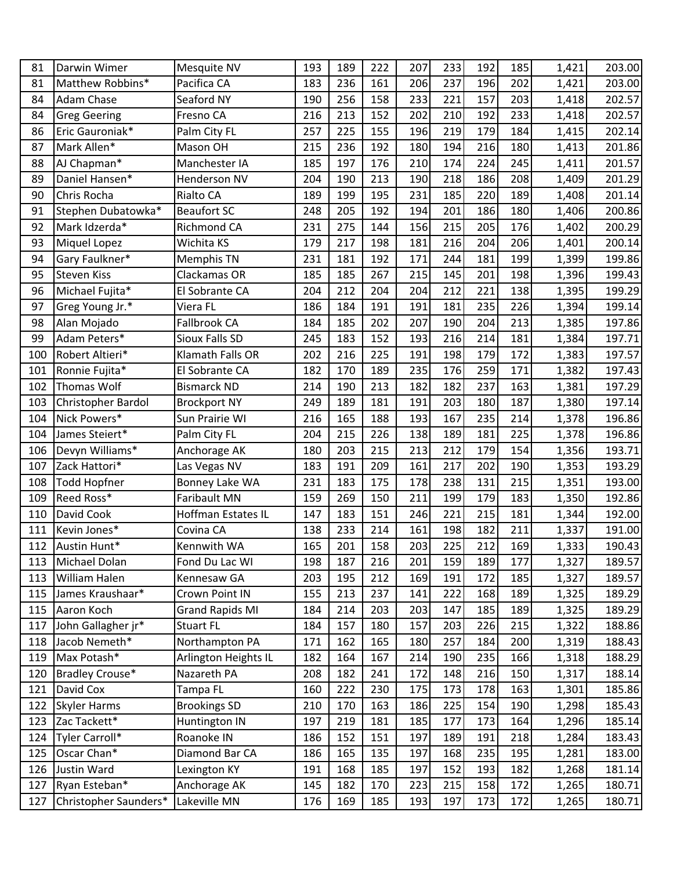| 81  | Darwin Wimer          | Mesquite NV            | 193 | 189 | 222 | 207 | 233 | 192 | 185 | 1,421 | 203.00 |
|-----|-----------------------|------------------------|-----|-----|-----|-----|-----|-----|-----|-------|--------|
| 81  | Matthew Robbins*      | Pacifica CA            | 183 | 236 | 161 | 206 | 237 | 196 | 202 | 1,421 | 203.00 |
| 84  | <b>Adam Chase</b>     | Seaford NY             | 190 | 256 | 158 | 233 | 221 | 157 | 203 | 1,418 | 202.57 |
| 84  | <b>Greg Geering</b>   | Fresno CA              | 216 | 213 | 152 | 202 | 210 | 192 | 233 | 1,418 | 202.57 |
| 86  | Eric Gauroniak*       | Palm City FL           | 257 | 225 | 155 | 196 | 219 | 179 | 184 | 1,415 | 202.14 |
| 87  | Mark Allen*           | Mason OH               | 215 | 236 | 192 | 180 | 194 | 216 | 180 | 1,413 | 201.86 |
| 88  | AJ Chapman*           | Manchester IA          | 185 | 197 | 176 | 210 | 174 | 224 | 245 | 1,411 | 201.57 |
| 89  | Daniel Hansen*        | <b>Henderson NV</b>    | 204 | 190 | 213 | 190 | 218 | 186 | 208 | 1,409 | 201.29 |
| 90  | Chris Rocha           | <b>Rialto CA</b>       | 189 | 199 | 195 | 231 | 185 | 220 | 189 | 1,408 | 201.14 |
| 91  | Stephen Dubatowka*    | <b>Beaufort SC</b>     | 248 | 205 | 192 | 194 | 201 | 186 | 180 | 1,406 | 200.86 |
| 92  | Mark Idzerda*         | Richmond CA            | 231 | 275 | 144 | 156 | 215 | 205 | 176 | 1,402 | 200.29 |
| 93  | <b>Miquel Lopez</b>   | Wichita KS             | 179 | 217 | 198 | 181 | 216 | 204 | 206 | 1,401 | 200.14 |
| 94  | Gary Faulkner*        | Memphis TN             | 231 | 181 | 192 | 171 | 244 | 181 | 199 | 1,399 | 199.86 |
| 95  | <b>Steven Kiss</b>    | Clackamas OR           | 185 | 185 | 267 | 215 | 145 | 201 | 198 | 1,396 | 199.43 |
| 96  | Michael Fujita*       | El Sobrante CA         | 204 | 212 | 204 | 204 | 212 | 221 | 138 | 1,395 | 199.29 |
| 97  | Greg Young Jr.*       | Viera FL               | 186 | 184 | 191 | 191 | 181 | 235 | 226 | 1,394 | 199.14 |
| 98  | Alan Mojado           | Fallbrook CA           | 184 | 185 | 202 | 207 | 190 | 204 | 213 | 1,385 | 197.86 |
| 99  | Adam Peters*          | Sioux Falls SD         | 245 | 183 | 152 | 193 | 216 | 214 | 181 | 1,384 | 197.71 |
| 100 | Robert Altieri*       | Klamath Falls OR       | 202 | 216 | 225 | 191 | 198 | 179 | 172 | 1,383 | 197.57 |
| 101 | Ronnie Fujita*        | El Sobrante CA         | 182 | 170 | 189 | 235 | 176 | 259 | 171 | 1,382 | 197.43 |
| 102 | Thomas Wolf           | <b>Bismarck ND</b>     | 214 | 190 | 213 | 182 | 182 | 237 | 163 | 1,381 | 197.29 |
| 103 | Christopher Bardol    | <b>Brockport NY</b>    | 249 | 189 | 181 | 191 | 203 | 180 | 187 | 1,380 | 197.14 |
| 104 | Nick Powers*          | Sun Prairie WI         | 216 | 165 | 188 | 193 | 167 | 235 | 214 | 1,378 | 196.86 |
| 104 | James Steiert*        | Palm City FL           | 204 | 215 | 226 | 138 | 189 | 181 | 225 | 1,378 | 196.86 |
| 106 | Devyn Williams*       | Anchorage AK           | 180 | 203 | 215 | 213 | 212 | 179 | 154 | 1,356 | 193.71 |
| 107 | Zack Hattori*         | Las Vegas NV           | 183 | 191 | 209 | 161 | 217 | 202 | 190 | 1,353 | 193.29 |
| 108 | <b>Todd Hopfner</b>   | Bonney Lake WA         | 231 | 183 | 175 | 178 | 238 | 131 | 215 | 1,351 | 193.00 |
| 109 | Reed Ross*            | Faribault MN           | 159 | 269 | 150 | 211 | 199 | 179 | 183 | 1,350 | 192.86 |
| 110 | David Cook            | Hoffman Estates IL     | 147 | 183 | 151 | 246 | 221 | 215 | 181 | 1,344 | 192.00 |
| 111 | Kevin Jones*          | Covina CA              | 138 | 233 | 214 | 161 | 198 | 182 | 211 | 1,337 | 191.00 |
| 112 | Austin Hunt*          | Kennwith WA            | 165 | 201 | 158 | 203 | 225 | 212 | 169 | 1,333 | 190.43 |
| 113 | Michael Dolan         | Fond Du Lac WI         | 198 | 187 | 216 | 201 | 159 | 189 | 177 | 1,327 | 189.57 |
| 113 | <b>William Halen</b>  | Kennesaw GA            | 203 | 195 | 212 | 169 | 191 | 172 | 185 | 1,327 | 189.57 |
| 115 | James Kraushaar*      | Crown Point IN         | 155 | 213 | 237 | 141 | 222 | 168 | 189 | 1,325 | 189.29 |
| 115 | Aaron Koch            | <b>Grand Rapids MI</b> | 184 | 214 | 203 | 203 | 147 | 185 | 189 | 1,325 | 189.29 |
| 117 | John Gallagher jr*    | <b>Stuart FL</b>       | 184 | 157 | 180 | 157 | 203 | 226 | 215 | 1,322 | 188.86 |
| 118 | Jacob Nemeth*         | Northampton PA         | 171 | 162 | 165 | 180 | 257 | 184 | 200 | 1,319 | 188.43 |
| 119 | Max Potash*           | Arlington Heights IL   | 182 | 164 | 167 | 214 | 190 | 235 | 166 | 1,318 | 188.29 |
| 120 | Bradley Crouse*       | Nazareth PA            | 208 | 182 | 241 | 172 | 148 | 216 | 150 | 1,317 | 188.14 |
| 121 | David Cox             | Tampa FL               | 160 | 222 | 230 | 175 | 173 | 178 | 163 | 1,301 | 185.86 |
| 122 | <b>Skyler Harms</b>   | <b>Brookings SD</b>    | 210 | 170 | 163 | 186 | 225 | 154 | 190 | 1,298 | 185.43 |
| 123 | Zac Tackett*          | Huntington IN          | 197 | 219 | 181 | 185 | 177 | 173 | 164 | 1,296 | 185.14 |
| 124 | Tyler Carroll*        | Roanoke IN             | 186 | 152 | 151 | 197 | 189 | 191 | 218 | 1,284 | 183.43 |
| 125 | Oscar Chan*           | Diamond Bar CA         | 186 | 165 | 135 | 197 | 168 | 235 | 195 | 1,281 | 183.00 |
| 126 | Justin Ward           | Lexington KY           | 191 | 168 | 185 | 197 | 152 | 193 | 182 | 1,268 | 181.14 |
| 127 | Ryan Esteban*         | Anchorage AK           | 145 | 182 | 170 | 223 | 215 | 158 | 172 | 1,265 | 180.71 |
| 127 | Christopher Saunders* | Lakeville MN           | 176 | 169 | 185 | 193 | 197 | 173 | 172 | 1,265 | 180.71 |